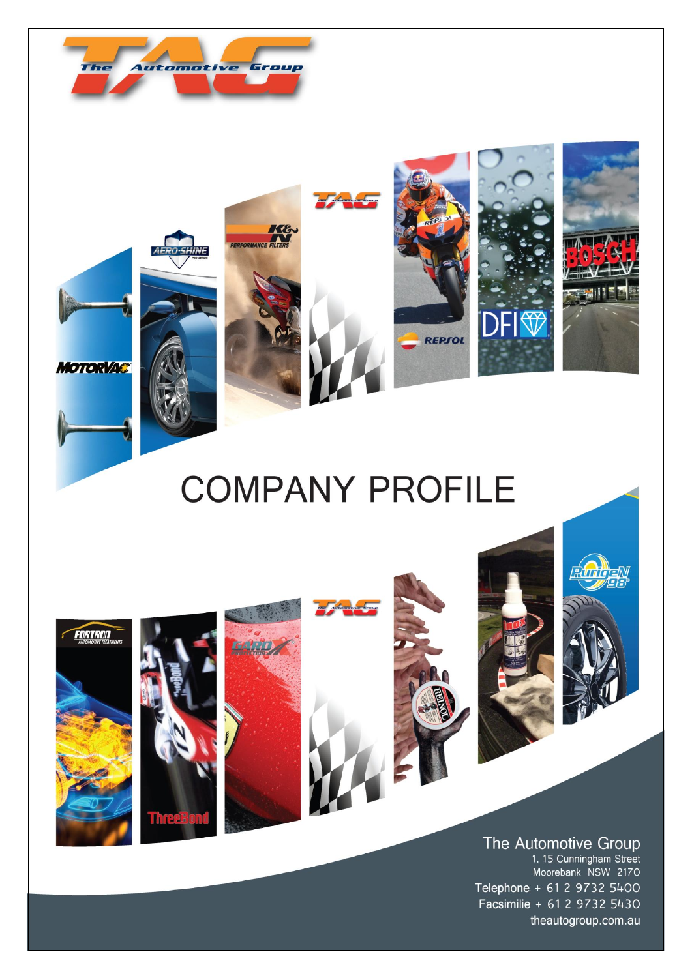









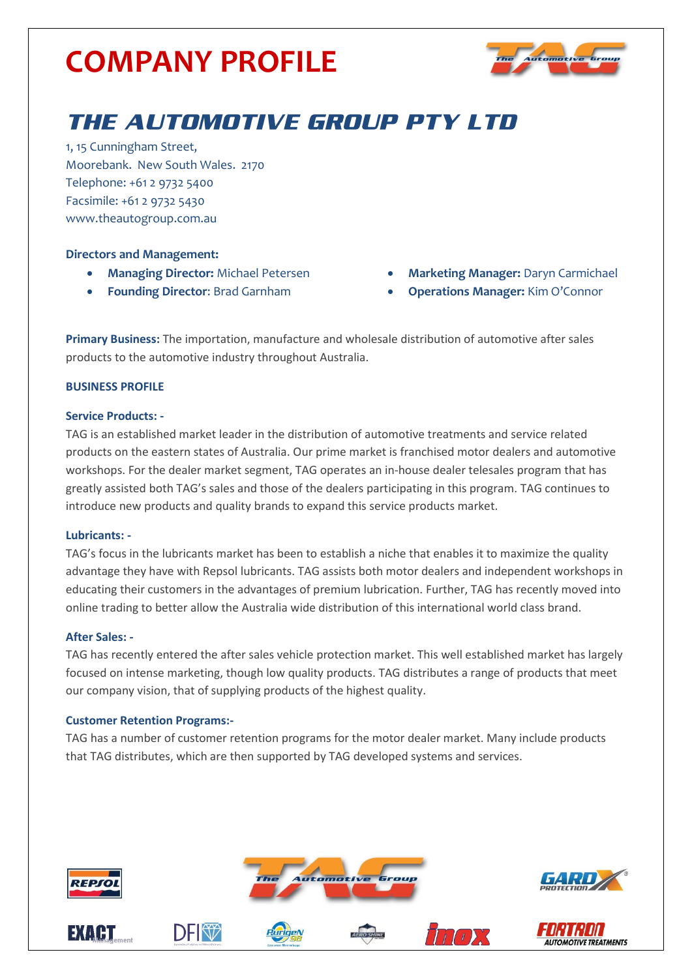

### THE AUTOMOTIVE GROUP PTY LTD

1, 15 Cunningham Street, Moorebank. New South Wales. 2170 Telephone: +61 2 9732 5400 Facsimile: +61 2 9732 5430 www.theautogroup.com.au

### **Directors and Management:**

- **Managing Director:** Michael Petersen
- **Founding Director**: Brad Garnham
- **Marketing Manager:** Daryn Carmichael
- **Operations Manager:** Kim O'Connor

**Primary Business:** The importation, manufacture and wholesale distribution of automotive after sales products to the automotive industry throughout Australia.

### **BUSINESS PROFILE**

### **Service Products: -**

TAG is an established market leader in the distribution of automotive treatments and service related products on the eastern states of Australia. Our prime market is franchised motor dealers and automotive workshops. For the dealer market segment, TAG operates an in-house dealer telesales program that has greatly assisted both TAG's sales and those of the dealers participating in this program. TAG continues to introduce new products and quality brands to expand this service products market.

### **Lubricants: -**

TAG's focus in the lubricants market has been to establish a niche that enables it to maximize the quality advantage they have with Repsol lubricants. TAG assists both motor dealers and independent workshops in educating their customers in the advantages of premium lubrication. Further, TAG has recently moved into online trading to better allow the Australia wide distribution of this international world class brand.

### **After Sales: -**

TAG has recently entered the after sales vehicle protection market. This well established market has largely focused on intense marketing, though low quality products. TAG distributes a range of products that meet our company vision, that of supplying products of the highest quality.

### **Customer Retention Programs:-**

TAG has a number of customer retention programs for the motor dealer market. Many include products that TAG distributes, which are then supported by TAG developed systems and services.

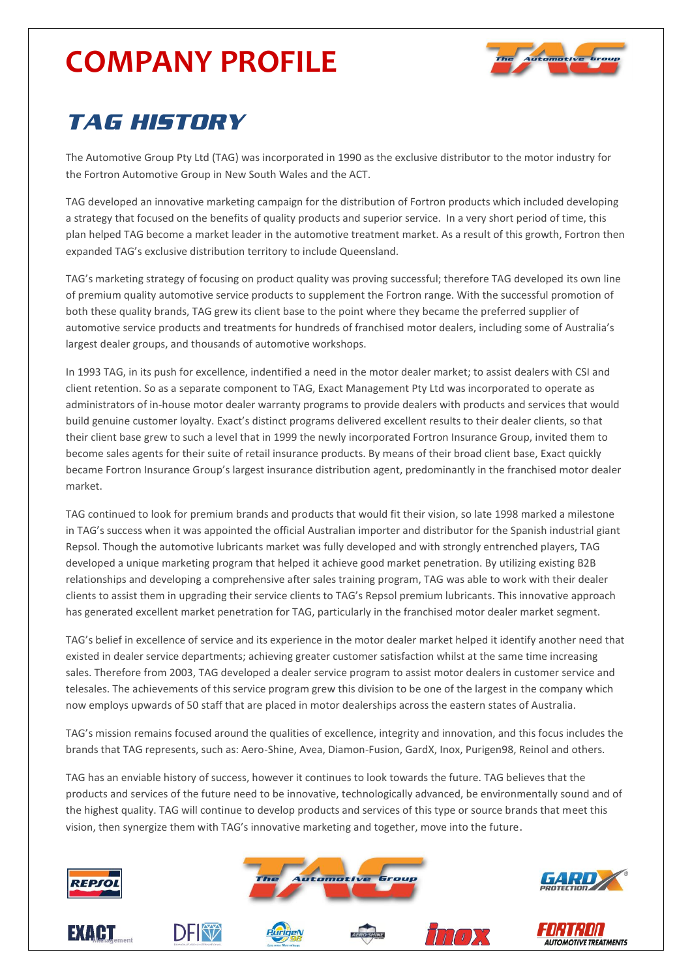

### *TAG HISTORY*

The Automotive Group Pty Ltd (TAG) was incorporated in 1990 as the exclusive distributor to the motor industry for the Fortron Automotive Group in New South Wales and the ACT.

TAG developed an innovative marketing campaign for the distribution of Fortron products which included developing a strategy that focused on the benefits of quality products and superior service. In a very short period of time, this plan helped TAG become a market leader in the automotive treatment market. As a result of this growth, Fortron then expanded TAG's exclusive distribution territory to include Queensland.

TAG's marketing strategy of focusing on product quality was proving successful; therefore TAG developed its own line of premium quality automotive service products to supplement the Fortron range. With the successful promotion of both these quality brands, TAG grew its client base to the point where they became the preferred supplier of automotive service products and treatments for hundreds of franchised motor dealers, including some of Australia's largest dealer groups, and thousands of automotive workshops.

In 1993 TAG, in its push for excellence, indentified a need in the motor dealer market; to assist dealers with CSI and client retention. So as a separate component to TAG, Exact Management Pty Ltd was incorporated to operate as administrators of in-house motor dealer warranty programs to provide dealers with products and services that would build genuine customer loyalty. Exact's distinct programs delivered excellent results to their dealer clients, so that their client base grew to such a level that in 1999 the newly incorporated Fortron Insurance Group, invited them to become sales agents for their suite of retail insurance products. By means of their broad client base, Exact quickly became Fortron Insurance Group's largest insurance distribution agent, predominantly in the franchised motor dealer market.

TAG continued to look for premium brands and products that would fit their vision, so late 1998 marked a milestone in TAG's success when it was appointed the official Australian importer and distributor for the Spanish industrial giant Repsol. Though the automotive lubricants market was fully developed and with strongly entrenched players, TAG developed a unique marketing program that helped it achieve good market penetration. By utilizing existing B2B relationships and developing a comprehensive after sales training program, TAG was able to work with their dealer clients to assist them in upgrading their service clients to TAG's Repsol premium lubricants. This innovative approach has generated excellent market penetration for TAG, particularly in the franchised motor dealer market segment.

TAG's belief in excellence of service and its experience in the motor dealer market helped it identify another need that existed in dealer service departments; achieving greater customer satisfaction whilst at the same time increasing sales. Therefore from 2003, TAG developed a dealer service program to assist motor dealers in customer service and telesales. The achievements of this service program grew this division to be one of the largest in the company which now employs upwards of 50 staff that are placed in motor dealerships across the eastern states of Australia.

TAG's mission remains focused around the qualities of excellence, integrity and innovation, and this focus includes the brands that TAG represents, such as: Aero-Shine, Avea, Diamon-Fusion, GardX, Inox, Purigen98, Reinol and others.

TAG has an enviable history of success, however it continues to look towards the future. TAG believes that the products and services of the future need to be innovative, technologically advanced, be environmentally sound and of the highest quality. TAG will continue to develop products and services of this type or source brands that meet this vision, then synergize them with TAG's innovative marketing and together, move into the future.